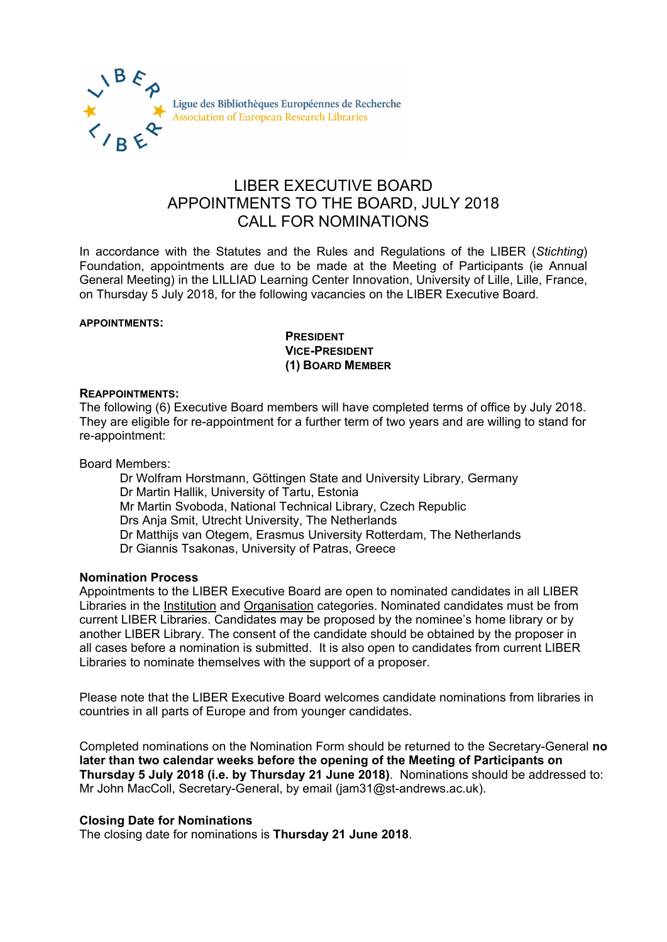

# LIBER EXECUTIVE BOARD APPOINTMENTS TO THE BOARD, JULY 2018 CALL FOR NOMINATIONS

In accordance with the Statutes and the Rules and Regulations of the LIBER (*Stichting*) Foundation, appointments are due to be made at the Meeting of Participants (ie Annual General Meeting) in the LILLIAD Learning Center Innovation, University of Lille, Lille, France, on Thursday 5 July 2018, for the following vacancies on the LIBER Executive Board.

#### **APPOINTMENTS:**

**PRESIDENT VICE-PRESIDENT (1) BOARD MEMBER**

#### **REAPPOINTMENTS:**

The following (6) Executive Board members will have completed terms of office by July 2018. They are eligible for re-appointment for a further term of two years and are willing to stand for re-appointment:

Board Members:

Dr Wolfram Horstmann, Göttingen State and University Library, Germany Dr Martin Hallik, University of Tartu, Estonia Mr Martin Svoboda, National Technical Library, Czech Republic Drs Anja Smit, Utrecht University, The Netherlands Dr Matthijs van Otegem, Erasmus University Rotterdam, The Netherlands Dr Giannis Tsakonas, University of Patras, Greece

## **Nomination Process**

Appointments to the LIBER Executive Board are open to nominated candidates in all LIBER Libraries in the Institution and Organisation categories. Nominated candidates must be from current LIBER Libraries. Candidates may be proposed by the nominee's home library or by another LIBER Library. The consent of the candidate should be obtained by the proposer in all cases before a nomination is submitted. It is also open to candidates from current LIBER Libraries to nominate themselves with the support of a proposer.

Please note that the LIBER Executive Board welcomes candidate nominations from libraries in countries in all parts of Europe and from younger candidates.

Completed nominations on the Nomination Form should be returned to the Secretary-General **no later than two calendar weeks before the opening of the Meeting of Participants on Thursday 5 July 2018 (i.e. by Thursday 21 June 2018)**. Nominations should be addressed to: Mr John MacColl, Secretary-General, by email (jam31@st-andrews.ac.uk).

## **Closing Date for Nominations**

The closing date for nominations is **Thursday 21 June 2018**.